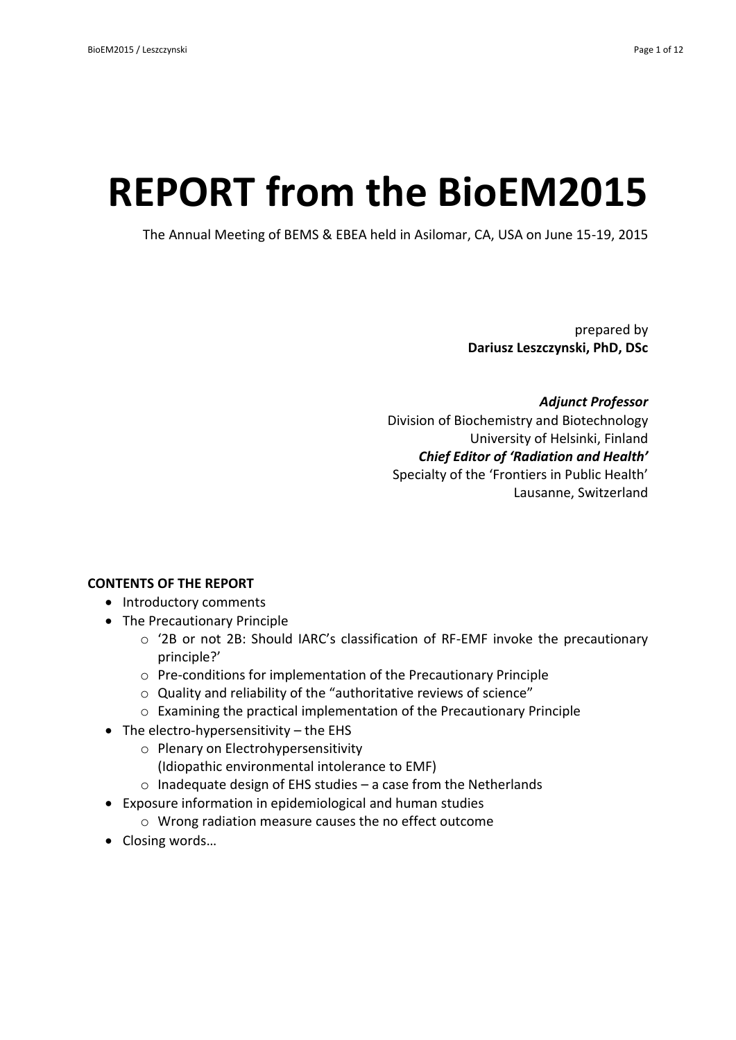# **REPORT from the BioEM2015**

The Annual Meeting of BEMS & EBEA held in Asilomar, CA, USA on June 15-19, 2015

prepared by **Dariusz Leszczynski, PhD, DSc**

*Adjunct Professor* Division of Biochemistry and Biotechnology University of Helsinki, Finland *Chief Editor of 'Radiation and Health'* Specialty of the 'Frontiers in Public Health' Lausanne, Switzerland

## **CONTENTS OF THE REPORT**

- Introductory comments
- The Precautionary Principle
	- o '2B or not 2B: Should IARC's classification of RF-EMF invoke the precautionary principle?'
	- o Pre-conditions for implementation of the Precautionary Principle
	- o Quality and reliability of the "authoritative reviews of science"
	- o Examining the practical implementation of the Precautionary Principle
- $\bullet$  The electro-hypersensitivity the EHS
	- o Plenary on Electrohypersensitivity
		- (Idiopathic environmental intolerance to EMF)
	- o Inadequate design of EHS studies a case from the Netherlands
- Exposure information in epidemiological and human studies
	- o Wrong radiation measure causes the no effect outcome
- Closing words...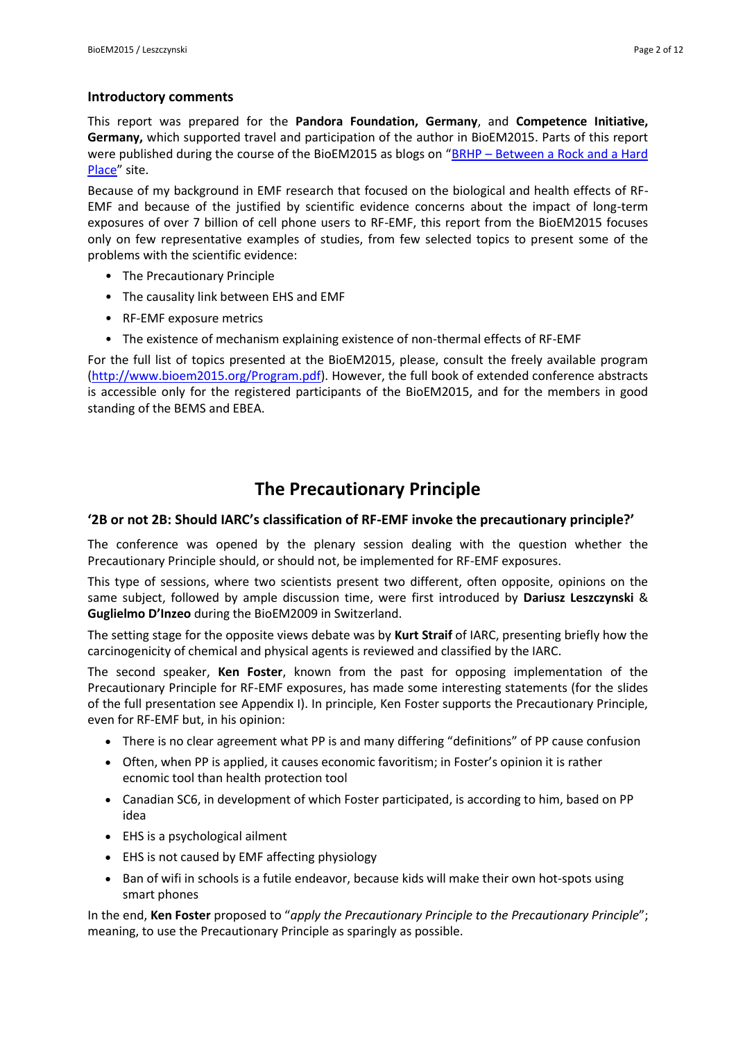#### **Introductory comments**

This report was prepared for the **Pandora Foundation, Germany**, and **Competence Initiative, Germany,** which supported travel and participation of the author in BioEM2015. Parts of this report were published during the course of the BioEM2015 as blogs on "BRHP - Between a Rock and a Hard [Place](http://betweenrockandhardplace.wordpress.com/)" site.

Because of my background in EMF research that focused on the biological and health effects of RF-EMF and because of the justified by scientific evidence concerns about the impact of long-term exposures of over 7 billion of cell phone users to RF-EMF, this report from the BioEM2015 focuses only on few representative examples of studies, from few selected topics to present some of the problems with the scientific evidence:

- The Precautionary Principle
- The causality link between EHS and EMF
- RF-EMF exposure metrics
- The existence of mechanism explaining existence of non-thermal effects of RF-EMF

For the full list of topics presented at the BioEM2015, please, consult the freely available program [\(http://www.bioem2015.org/Program.pdf\)](http://www.bioem2015.org/Program.pdf). However, the full book of extended conference abstracts is accessible only for the registered participants of the BioEM2015, and for the members in good standing of the BEMS and EBEA.

# **The Precautionary Principle**

## **'2B or not 2B: Should IARC's classification of RF-EMF invoke the precautionary principle?'**

The conference was opened by the plenary session dealing with the question whether the Precautionary Principle should, or should not, be implemented for RF-EMF exposures.

This type of sessions, where two scientists present two different, often opposite, opinions on the same subject, followed by ample discussion time, were first introduced by **Dariusz Leszczynski** & **Guglielmo D'Inzeo** during the BioEM2009 in Switzerland.

The setting stage for the opposite views debate was by **Kurt Straif** of IARC, presenting briefly how the carcinogenicity of chemical and physical agents is reviewed and classified by the IARC.

The second speaker, **Ken Foster**, known from the past for opposing implementation of the Precautionary Principle for RF-EMF exposures, has made some interesting statements (for the slides of the full presentation see Appendix I). In principle, Ken Foster supports the Precautionary Principle, even for RF-EMF but, in his opinion:

- There is no clear agreement what PP is and many differing "definitions" of PP cause confusion
- Often, when PP is applied, it causes economic favoritism; in Foster's opinion it is rather ecnomic tool than health protection tool
- Canadian SC6, in development of which Foster participated, is according to him, based on PP idea
- EHS is a psychological ailment
- EHS is not caused by EMF affecting physiology
- Ban of wifi in schools is a futile endeavor, because kids will make their own hot-spots using smart phones

In the end, **Ken Foster** proposed to "*apply the Precautionary Principle to the Precautionary Principle*"; meaning, to use the Precautionary Principle as sparingly as possible.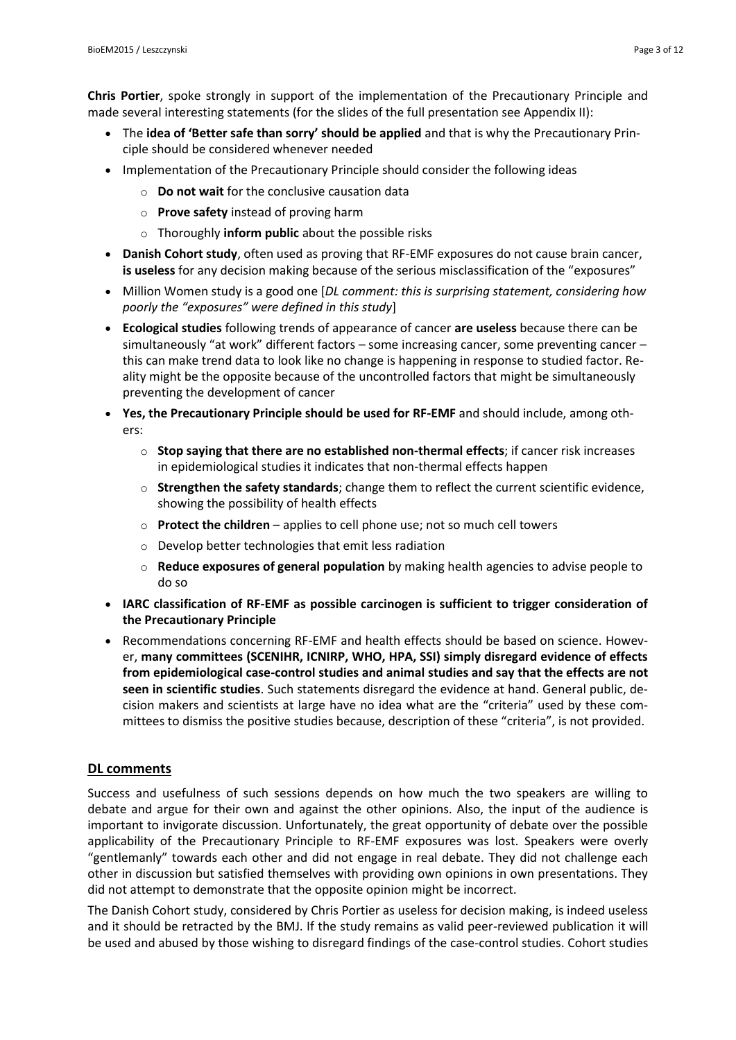**Chris Portier**, spoke strongly in support of the implementation of the Precautionary Principle and made several interesting statements (for the slides of the full presentation see Appendix II):

- The **idea of 'Better safe than sorry' should be applied** and that is why the Precautionary Principle should be considered whenever needed
- Implementation of the Precautionary Principle should consider the following ideas
	- o **Do not wait** for the conclusive causation data
	- o **Prove safety** instead of proving harm
	- o Thoroughly **inform public** about the possible risks
- **Danish Cohort study**, often used as proving that RF-EMF exposures do not cause brain cancer, **is useless** for any decision making because of the serious misclassification of the "exposures"
- Million Women study is a good one [*DL comment: this is surprising statement, considering how poorly the "exposures" were defined in this study*]
- **Ecological studies** following trends of appearance of cancer **are useless** because there can be simultaneously "at work" different factors – some increasing cancer, some preventing cancer – this can make trend data to look like no change is happening in response to studied factor. Reality might be the opposite because of the uncontrolled factors that might be simultaneously preventing the development of cancer
- **Yes, the Precautionary Principle should be used for RF-EMF** and should include, among others:
	- o **Stop saying that there are no established non-thermal effects**; if cancer risk increases in epidemiological studies it indicates that non-thermal effects happen
	- o **Strengthen the safety standards**; change them to reflect the current scientific evidence, showing the possibility of health effects
	- o **Protect the children** applies to cell phone use; not so much cell towers
	- o Develop better technologies that emit less radiation
	- o **Reduce exposures of general population** by making health agencies to advise people to do so
- **IARC classification of RF-EMF as possible carcinogen is sufficient to trigger consideration of the Precautionary Principle**
- Recommendations concerning RF-EMF and health effects should be based on science. However, **many committees (SCENIHR, ICNIRP, WHO, HPA, SSI) simply disregard evidence of effects from epidemiological case-control studies and animal studies and say that the effects are not seen in scientific studies**. Such statements disregard the evidence at hand. General public, decision makers and scientists at large have no idea what are the "criteria" used by these committees to dismiss the positive studies because, description of these "criteria", is not provided.

## **DL comments**

Success and usefulness of such sessions depends on how much the two speakers are willing to debate and argue for their own and against the other opinions. Also, the input of the audience is important to invigorate discussion. Unfortunately, the great opportunity of debate over the possible applicability of the Precautionary Principle to RF-EMF exposures was lost. Speakers were overly "gentlemanly" towards each other and did not engage in real debate. They did not challenge each other in discussion but satisfied themselves with providing own opinions in own presentations. They did not attempt to demonstrate that the opposite opinion might be incorrect.

The Danish Cohort study, considered by Chris Portier as useless for decision making, is indeed useless and it should be retracted by the BMJ. If the study remains as valid peer-reviewed publication it will be used and abused by those wishing to disregard findings of the case-control studies. Cohort studies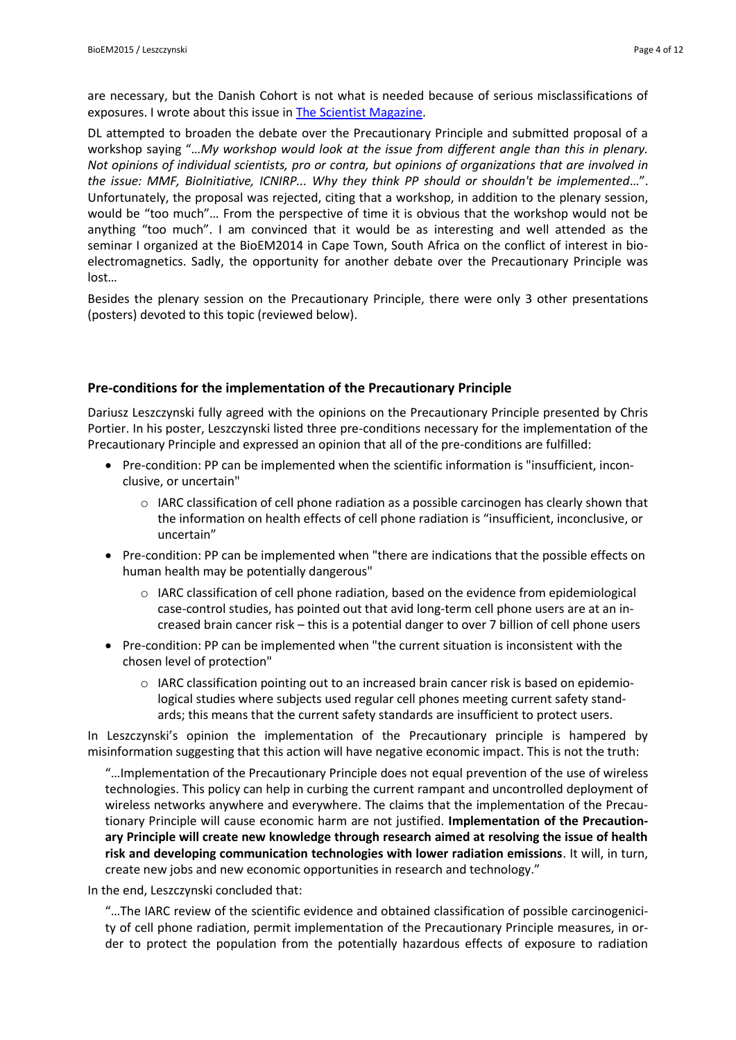are necessary, but the Danish Cohort is not what is needed because of serious misclassifications of exposures. I wrote about this issue i[n The Scientist Magazine.](http://www.the-scientist.com/?articles.view/articleNo/34518/title/Opinion--Scientific-Peer-Review-in-Crisis/)

DL attempted to broaden the debate over the Precautionary Principle and submitted proposal of a workshop saying "…*My workshop would look at the issue from different angle than this in plenary. Not opinions of individual scientists, pro or contra, but opinions of organizations that are involved in the issue: MMF, BioInitiative, ICNIRP... Why they think PP should or shouldn't be implemented*…". Unfortunately, the proposal was rejected, citing that a workshop, in addition to the plenary session, would be "too much"… From the perspective of time it is obvious that the workshop would not be anything "too much". I am convinced that it would be as interesting and well attended as the seminar I organized at the BioEM2014 in Cape Town, South Africa on the conflict of interest in bioelectromagnetics. Sadly, the opportunity for another debate over the Precautionary Principle was lost…

Besides the plenary session on the Precautionary Principle, there were only 3 other presentations (posters) devoted to this topic (reviewed below).

#### **Pre-conditions for the implementation of the Precautionary Principle**

Dariusz Leszczynski fully agreed with the opinions on the Precautionary Principle presented by Chris Portier. In his poster, Leszczynski listed three pre-conditions necessary for the implementation of the Precautionary Principle and expressed an opinion that all of the pre-conditions are fulfilled:

- Pre-condition: PP can be implemented when the scientific information is "insufficient, inconclusive, or uncertain"
	- $\circ$  IARC classification of cell phone radiation as a possible carcinogen has clearly shown that the information on health effects of cell phone radiation is "insufficient, inconclusive, or uncertain"
- Pre-condition: PP can be implemented when "there are indications that the possible effects on human health may be potentially dangerous"
	- o IARC classification of cell phone radiation, based on the evidence from epidemiological case-control studies, has pointed out that avid long-term cell phone users are at an increased brain cancer risk – this is a potential danger to over 7 billion of cell phone users
- Pre-condition: PP can be implemented when "the current situation is inconsistent with the chosen level of protection"
	- $\circ$  IARC classification pointing out to an increased brain cancer risk is based on epidemiological studies where subjects used regular cell phones meeting current safety standards; this means that the current safety standards are insufficient to protect users.

In Leszczynski's opinion the implementation of the Precautionary principle is hampered by misinformation suggesting that this action will have negative economic impact. This is not the truth:

"…Implementation of the Precautionary Principle does not equal prevention of the use of wireless technologies. This policy can help in curbing the current rampant and uncontrolled deployment of wireless networks anywhere and everywhere. The claims that the implementation of the Precautionary Principle will cause economic harm are not justified. **Implementation of the Precautionary Principle will create new knowledge through research aimed at resolving the issue of health risk and developing communication technologies with lower radiation emissions**. It will, in turn, create new jobs and new economic opportunities in research and technology."

In the end, Leszczynski concluded that:

"…The IARC review of the scientific evidence and obtained classification of possible carcinogenicity of cell phone radiation, permit implementation of the Precautionary Principle measures, in order to protect the population from the potentially hazardous effects of exposure to radiation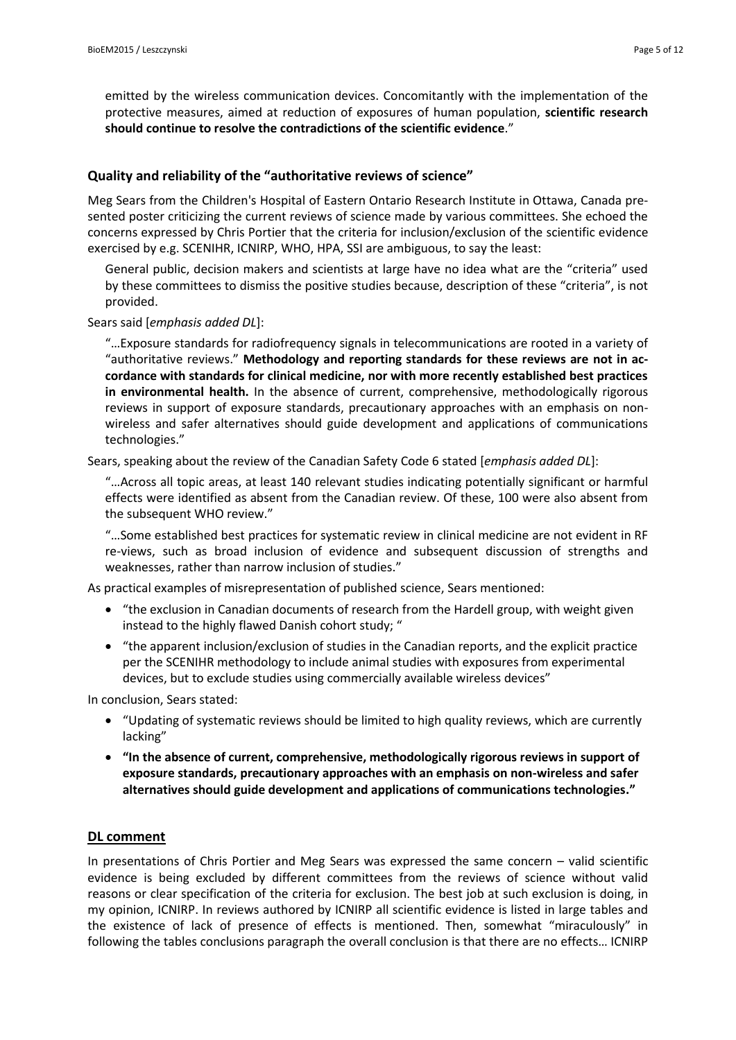emitted by the wireless communication devices. Concomitantly with the implementation of the protective measures, aimed at reduction of exposures of human population, **scientific research should continue to resolve the contradictions of the scientific evidence**."

#### **Quality and reliability of the "authoritative reviews of science"**

Meg Sears from the Children's Hospital of Eastern Ontario Research Institute in Ottawa, Canada presented poster criticizing the current reviews of science made by various committees. She echoed the concerns expressed by Chris Portier that the criteria for inclusion/exclusion of the scientific evidence exercised by e.g. SCENIHR, ICNIRP, WHO, HPA, SSI are ambiguous, to say the least:

General public, decision makers and scientists at large have no idea what are the "criteria" used by these committees to dismiss the positive studies because, description of these "criteria", is not provided.

Sears said [*emphasis added DL*]:

"…Exposure standards for radiofrequency signals in telecommunications are rooted in a variety of "authoritative reviews." **Methodology and reporting standards for these reviews are not in accordance with standards for clinical medicine, nor with more recently established best practices in environmental health.** In the absence of current, comprehensive, methodologically rigorous reviews in support of exposure standards, precautionary approaches with an emphasis on nonwireless and safer alternatives should guide development and applications of communications technologies."

Sears, speaking about the review of the Canadian Safety Code 6 stated [*emphasis added DL*]:

"…Across all topic areas, at least 140 relevant studies indicating potentially significant or harmful effects were identified as absent from the Canadian review. Of these, 100 were also absent from the subsequent WHO review."

"…Some established best practices for systematic review in clinical medicine are not evident in RF re-views, such as broad inclusion of evidence and subsequent discussion of strengths and weaknesses, rather than narrow inclusion of studies."

As practical examples of misrepresentation of published science, Sears mentioned:

- "the exclusion in Canadian documents of research from the Hardell group, with weight given instead to the highly flawed Danish cohort study; "
- "the apparent inclusion/exclusion of studies in the Canadian reports, and the explicit practice per the SCENIHR methodology to include animal studies with exposures from experimental devices, but to exclude studies using commercially available wireless devices"

In conclusion, Sears stated:

- "Updating of systematic reviews should be limited to high quality reviews, which are currently lacking"
- **"In the absence of current, comprehensive, methodologically rigorous reviews in support of exposure standards, precautionary approaches with an emphasis on non-wireless and safer alternatives should guide development and applications of communications technologies."**

#### **DL comment**

In presentations of Chris Portier and Meg Sears was expressed the same concern – valid scientific evidence is being excluded by different committees from the reviews of science without valid reasons or clear specification of the criteria for exclusion. The best job at such exclusion is doing, in my opinion, ICNIRP. In reviews authored by ICNIRP all scientific evidence is listed in large tables and the existence of lack of presence of effects is mentioned. Then, somewhat "miraculously" in following the tables conclusions paragraph the overall conclusion is that there are no effects… ICNIRP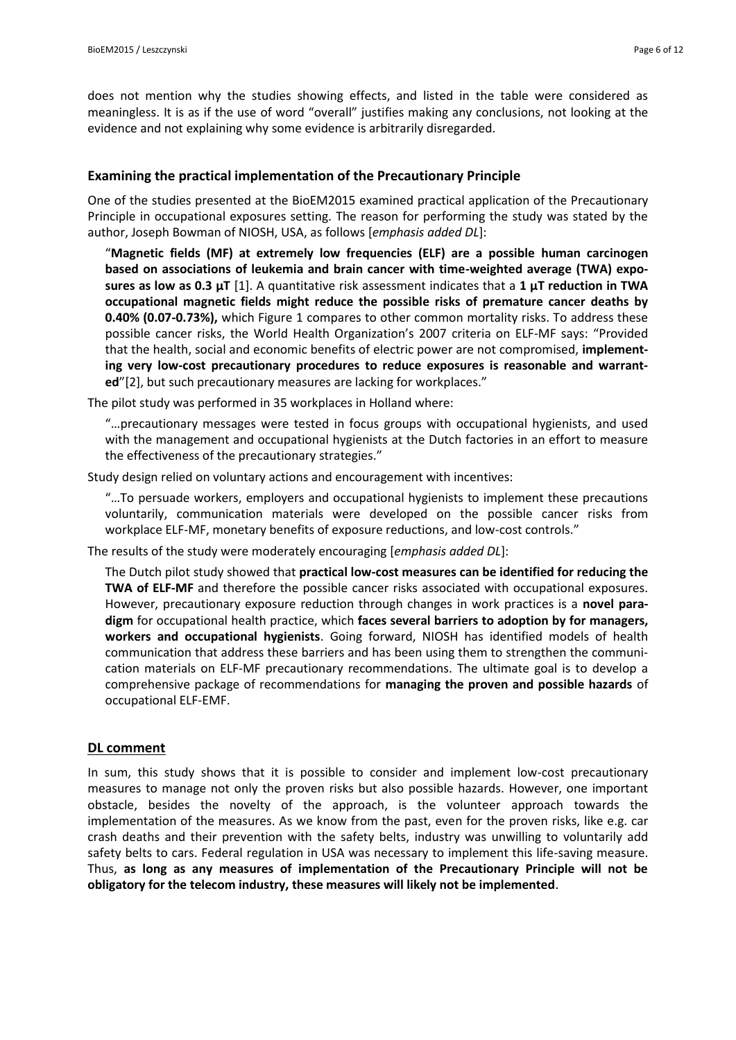does not mention why the studies showing effects, and listed in the table were considered as meaningless. It is as if the use of word "overall" justifies making any conclusions, not looking at the evidence and not explaining why some evidence is arbitrarily disregarded.

#### **Examining the practical implementation of the Precautionary Principle**

One of the studies presented at the BioEM2015 examined practical application of the Precautionary Principle in occupational exposures setting. The reason for performing the study was stated by the author, Joseph Bowman of NIOSH, USA, as follows [*emphasis added DL*]:

"**Magnetic fields (MF) at extremely low frequencies (ELF) are a possible human carcinogen based on associations of leukemia and brain cancer with time-weighted average (TWA) exposures as low as 0.3 μT** [1]. A quantitative risk assessment indicates that a **1 μT reduction in TWA occupational magnetic fields might reduce the possible risks of premature cancer deaths by 0.40% (0.07-0.73%),** which Figure 1 compares to other common mortality risks. To address these possible cancer risks, the World Health Organization's 2007 criteria on ELF-MF says: "Provided that the health, social and economic benefits of electric power are not compromised, **implementing very low-cost precautionary procedures to reduce exposures is reasonable and warranted**"[2], but such precautionary measures are lacking for workplaces."

The pilot study was performed in 35 workplaces in Holland where:

"…precautionary messages were tested in focus groups with occupational hygienists, and used with the management and occupational hygienists at the Dutch factories in an effort to measure the effectiveness of the precautionary strategies."

Study design relied on voluntary actions and encouragement with incentives:

"…To persuade workers, employers and occupational hygienists to implement these precautions voluntarily, communication materials were developed on the possible cancer risks from workplace ELF-MF, monetary benefits of exposure reductions, and low-cost controls."

The results of the study were moderately encouraging [*emphasis added DL*]:

The Dutch pilot study showed that **practical low-cost measures can be identified for reducing the TWA of ELF-MF** and therefore the possible cancer risks associated with occupational exposures. However, precautionary exposure reduction through changes in work practices is a **novel paradigm** for occupational health practice, which **faces several barriers to adoption by for managers, workers and occupational hygienists**. Going forward, NIOSH has identified models of health communication that address these barriers and has been using them to strengthen the communication materials on ELF-MF precautionary recommendations. The ultimate goal is to develop a comprehensive package of recommendations for **managing the proven and possible hazards** of occupational ELF-EMF.

#### **DL comment**

In sum, this study shows that it is possible to consider and implement low-cost precautionary measures to manage not only the proven risks but also possible hazards. However, one important obstacle, besides the novelty of the approach, is the volunteer approach towards the implementation of the measures. As we know from the past, even for the proven risks, like e.g. car crash deaths and their prevention with the safety belts, industry was unwilling to voluntarily add safety belts to cars. Federal regulation in USA was necessary to implement this life-saving measure. Thus, **as long as any measures of implementation of the Precautionary Principle will not be obligatory for the telecom industry, these measures will likely not be implemented**.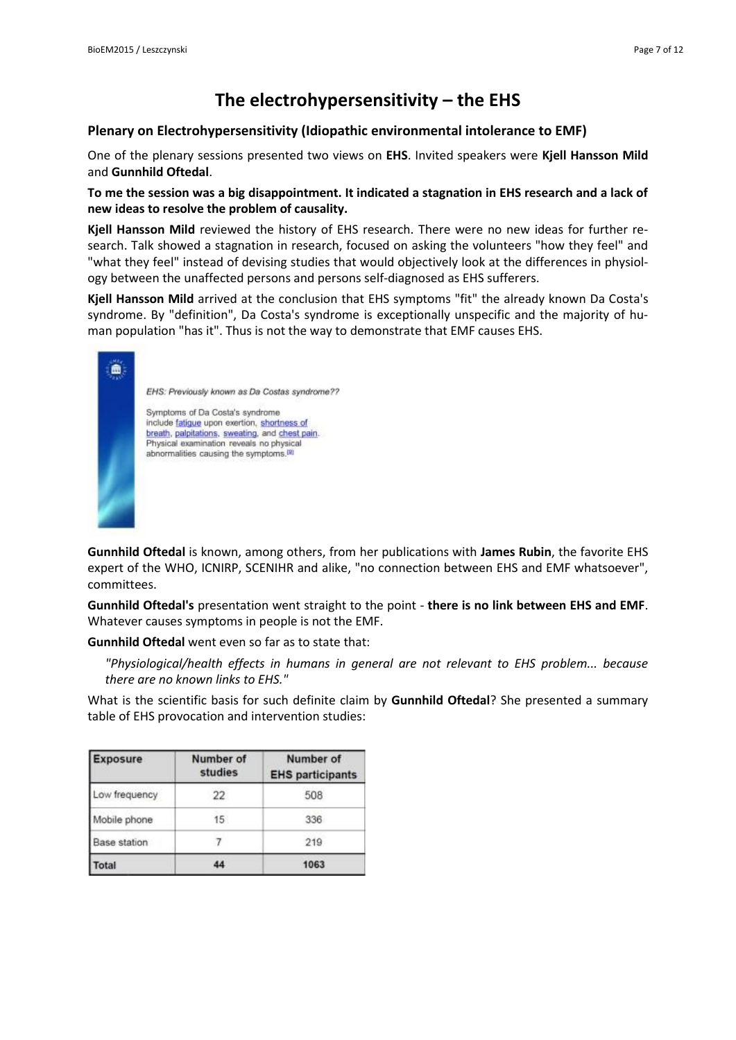# **The electrohypersensitivity – the EHS**

## **Plenary on Electrohypersensitivity (Idiopathic environmental intolerance to EMF)**

One of the plenary sessions presented two views on **EHS**. Invited speakers were **Kjell Hansson Mild** and **Gunnhild Oftedal**.

**To me the session was a big disappointment. It indicated a stagnation in EHS research and a lack of new ideas to resolve the problem of causality.**

**Kjell Hansson Mild** reviewed the history of EHS research. There were no new ideas for further research. Talk showed a stagnation in research, focused on asking the volunteers "how they feel" and "what they feel" instead of devising studies that would objectively look at the differences in physiology between the unaffected persons and persons self-diagnosed as EHS sufferers.

**Kjell Hansson Mild** arrived at the conclusion that EHS symptoms "fit" the already known Da Costa's syndrome. By "definition", Da Costa's syndrome is exceptionally unspecific and the majority of human population "has it". Thus is not the way to demonstrate that EMF causes EHS.



**Gunnhild Oftedal** is known, among others, from her publications with **James Rubin**, the favorite EHS expert of the WHO, ICNIRP, SCENIHR and alike, "no connection between EHS and EMF whatsoever", committees.

**Gunnhild Oftedal's** presentation went straight to the point - **there is no link between EHS and EMF**. Whatever causes symptoms in people is not the EMF.

**Gunnhild Oftedal** went even so far as to state that:

*"Physiological/health effects in humans in general are not relevant to EHS problem... because there are no known links to EHS."*

What is the scientific basis for such definite claim by **Gunnhild Oftedal**? She presented a summary table of EHS provocation and intervention studies:

| <b>Exposure</b>     | Number of<br>studies | Number of<br><b>EHS participants</b> |
|---------------------|----------------------|--------------------------------------|
| Low frequency       | 22                   | 508                                  |
| Mobile phone        | 15 <sub>15</sub>     | 336                                  |
| <b>Base station</b> |                      | 219                                  |
| Total               | 44                   | 1063                                 |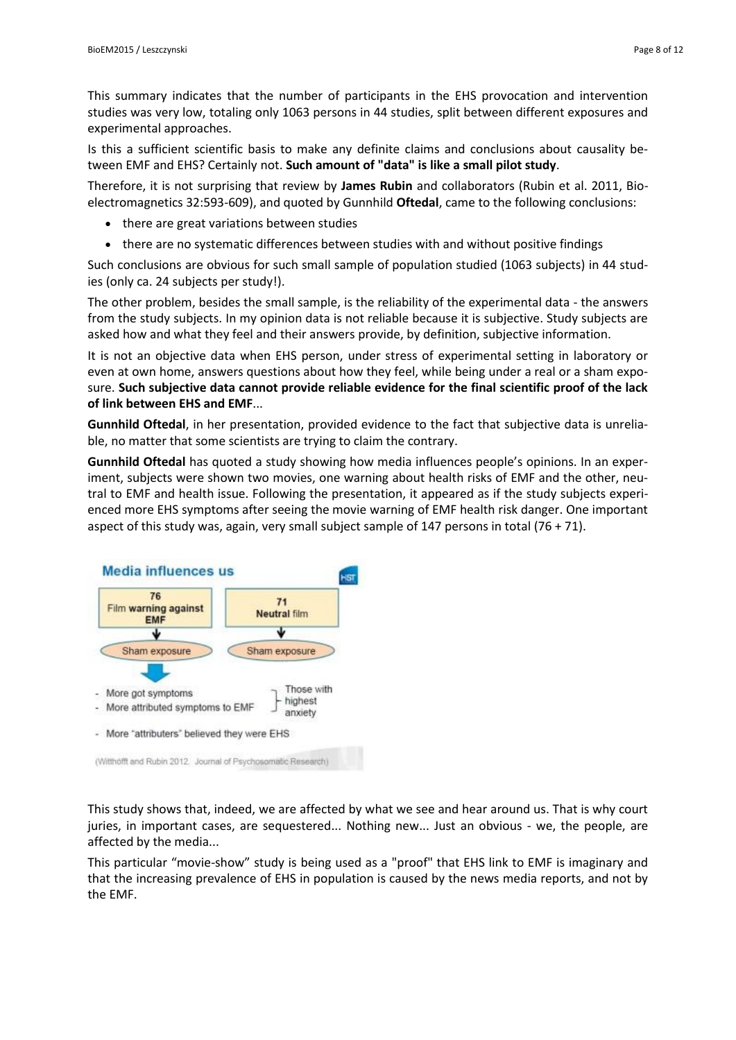This summary indicates that the number of participants in the EHS provocation and intervention studies was very low, totaling only 1063 persons in 44 studies, split between different exposures and experimental approaches.

Is this a sufficient scientific basis to make any definite claims and conclusions about causality between EMF and EHS? Certainly not. **Such amount of "data" is like a small pilot study**.

Therefore, it is not surprising that review by **James Rubin** and collaborators (Rubin et al. 2011, Bioelectromagnetics 32:593-609), and quoted by Gunnhild **Oftedal**, came to the following conclusions:

- there are great variations between studies
- there are no systematic differences between studies with and without positive findings

Such conclusions are obvious for such small sample of population studied (1063 subjects) in 44 studies (only ca. 24 subjects per study!).

The other problem, besides the small sample, is the reliability of the experimental data - the answers from the study subjects. In my opinion data is not reliable because it is subjective. Study subjects are asked how and what they feel and their answers provide, by definition, subjective information.

It is not an objective data when EHS person, under stress of experimental setting in laboratory or even at own home, answers questions about how they feel, while being under a real or a sham exposure. **Such subjective data cannot provide reliable evidence for the final scientific proof of the lack of link between EHS and EMF**...

**Gunnhild Oftedal**, in her presentation, provided evidence to the fact that subjective data is unreliable, no matter that some scientists are trying to claim the contrary.

**Gunnhild Oftedal** has quoted a study showing how media influences people's opinions. In an experiment, subjects were shown two movies, one warning about health risks of EMF and the other, neutral to EMF and health issue. Following the presentation, it appeared as if the study subjects experienced more EHS symptoms after seeing the movie warning of EMF health risk danger. One important aspect of this study was, again, very small subject sample of 147 persons in total  $(76 + 71)$ .



This study shows that, indeed, we are affected by what we see and hear around us. That is why court juries, in important cases, are sequestered... Nothing new... Just an obvious - we, the people, are affected by the media...

This particular "movie-show" study is being used as a "proof" that EHS link to EMF is imaginary and that the increasing prevalence of EHS in population is caused by the news media reports, and not by the EMF.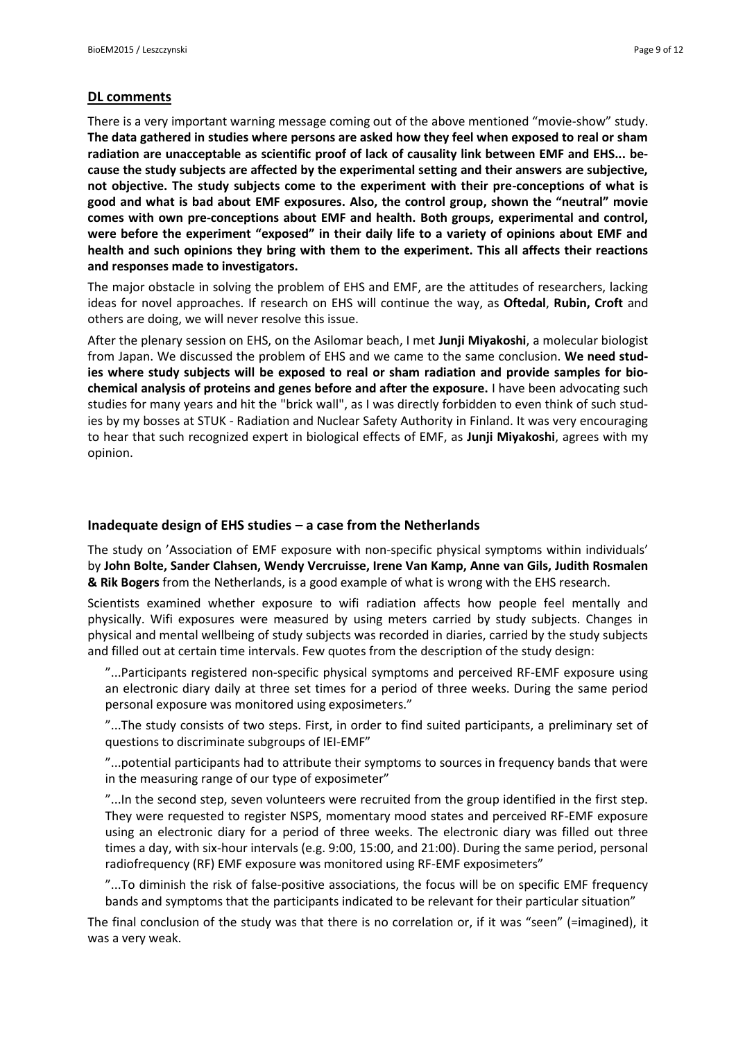#### **DL comments**

There is a very important warning message coming out of the above mentioned "movie-show" study. **The data gathered in studies where persons are asked how they feel when exposed to real or sham radiation are unacceptable as scientific proof of lack of causality link between EMF and EHS... because the study subjects are affected by the experimental setting and their answers are subjective, not objective. The study subjects come to the experiment with their pre-conceptions of what is good and what is bad about EMF exposures. Also, the control group, shown the "neutral" movie comes with own pre-conceptions about EMF and health. Both groups, experimental and control, were before the experiment "exposed" in their daily life to a variety of opinions about EMF and health and such opinions they bring with them to the experiment. This all affects their reactions and responses made to investigators.**

The major obstacle in solving the problem of EHS and EMF, are the attitudes of researchers, lacking ideas for novel approaches. If research on EHS will continue the way, as **Oftedal**, **Rubin, Croft** and others are doing, we will never resolve this issue.

After the plenary session on EHS, on the Asilomar beach, I met **Junji Miyakoshi**, a molecular biologist from Japan. We discussed the problem of EHS and we came to the same conclusion. **We need studies where study subjects will be exposed to real or sham radiation and provide samples for biochemical analysis of proteins and genes before and after the exposure.** I have been advocating such studies for many years and hit the "brick wall", as I was directly forbidden to even think of such studies by my bosses at STUK - Radiation and Nuclear Safety Authority in Finland. It was very encouraging to hear that such recognized expert in biological effects of EMF, as **Junji Miyakoshi**, agrees with my opinion.

#### **Inadequate design of EHS studies – a case from the Netherlands**

The study on 'Association of EMF exposure with non-specific physical symptoms within individuals' by **John Bolte, Sander Clahsen, Wendy Vercruisse, Irene Van Kamp, Anne van Gils, Judith Rosmalen & Rik Bogers** from the Netherlands, is a good example of what is wrong with the EHS research.

Scientists examined whether exposure to wifi radiation affects how people feel mentally and physically. Wifi exposures were measured by using meters carried by study subjects. Changes in physical and mental wellbeing of study subjects was recorded in diaries, carried by the study subjects and filled out at certain time intervals. Few quotes from the description of the study design:

"...Participants registered non-specific physical symptoms and perceived RF-EMF exposure using an electronic diary daily at three set times for a period of three weeks. During the same period personal exposure was monitored using exposimeters."

"...The study consists of two steps. First, in order to find suited participants, a preliminary set of questions to discriminate subgroups of IEI-EMF"

"...potential participants had to attribute their symptoms to sources in frequency bands that were in the measuring range of our type of exposimeter"

"...In the second step, seven volunteers were recruited from the group identified in the first step. They were requested to register NSPS, momentary mood states and perceived RF-EMF exposure using an electronic diary for a period of three weeks. The electronic diary was filled out three times a day, with six-hour intervals (e.g. 9:00, 15:00, and 21:00). During the same period, personal radiofrequency (RF) EMF exposure was monitored using RF-EMF exposimeters"

"...To diminish the risk of false-positive associations, the focus will be on specific EMF frequency bands and symptoms that the participants indicated to be relevant for their particular situation"

The final conclusion of the study was that there is no correlation or, if it was "seen" (=imagined), it was a very weak.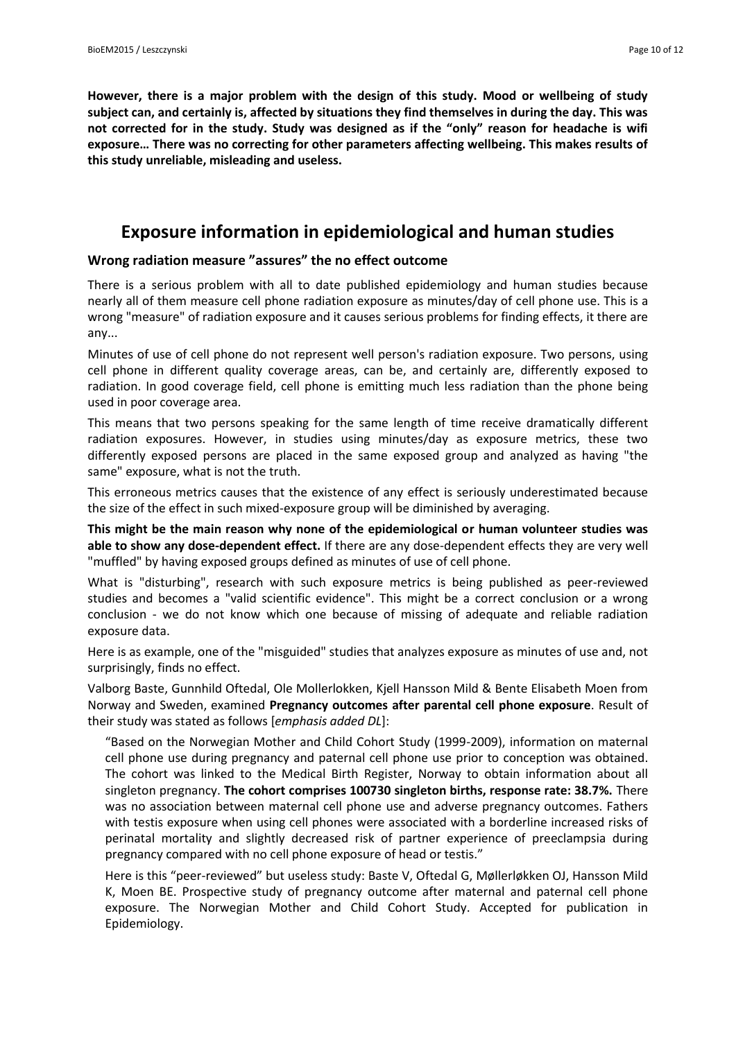**However, there is a major problem with the design of this study. Mood or wellbeing of study subject can, and certainly is, affected by situations they find themselves in during the day. This was not corrected for in the study. Study was designed as if the "only" reason for headache is wifi exposure… There was no correcting for other parameters affecting wellbeing. This makes results of this study unreliable, misleading and useless.**

# **Exposure information in epidemiological and human studies**

## **Wrong radiation measure "assures" the no effect outcome**

There is a serious problem with all to date published epidemiology and human studies because nearly all of them measure cell phone radiation exposure as minutes/day of cell phone use. This is a wrong "measure" of radiation exposure and it causes serious problems for finding effects, it there are any...

Minutes of use of cell phone do not represent well person's radiation exposure. Two persons, using cell phone in different quality coverage areas, can be, and certainly are, differently exposed to radiation. In good coverage field, cell phone is emitting much less radiation than the phone being used in poor coverage area.

This means that two persons speaking for the same length of time receive dramatically different radiation exposures. However, in studies using minutes/day as exposure metrics, these two differently exposed persons are placed in the same exposed group and analyzed as having "the same" exposure, what is not the truth.

This erroneous metrics causes that the existence of any effect is seriously underestimated because the size of the effect in such mixed-exposure group will be diminished by averaging.

**This might be the main reason why none of the epidemiological or human volunteer studies was able to show any dose-dependent effect.** If there are any dose-dependent effects they are very well "muffled" by having exposed groups defined as minutes of use of cell phone.

What is "disturbing", research with such exposure metrics is being published as peer-reviewed studies and becomes a "valid scientific evidence". This might be a correct conclusion or a wrong conclusion - we do not know which one because of missing of adequate and reliable radiation exposure data.

Here is as example, one of the "misguided" studies that analyzes exposure as minutes of use and, not surprisingly, finds no effect.

Valborg Baste, Gunnhild Oftedal, Ole Mollerlokken, Kjell Hansson Mild & Bente Elisabeth Moen from Norway and Sweden, examined **Pregnancy outcomes after parental cell phone exposure**. Result of their study was stated as follows [*emphasis added DL*]:

"Based on the Norwegian Mother and Child Cohort Study (1999-2009), information on maternal cell phone use during pregnancy and paternal cell phone use prior to conception was obtained. The cohort was linked to the Medical Birth Register, Norway to obtain information about all singleton pregnancy. **The cohort comprises 100730 singleton births, response rate: 38.7%.** There was no association between maternal cell phone use and adverse pregnancy outcomes. Fathers with testis exposure when using cell phones were associated with a borderline increased risks of perinatal mortality and slightly decreased risk of partner experience of preeclampsia during pregnancy compared with no cell phone exposure of head or testis."

Here is this "peer-reviewed" but useless study: Baste V, Oftedal G, Møllerløkken OJ, Hansson Mild K, Moen BE. Prospective study of pregnancy outcome after maternal and paternal cell phone exposure. The Norwegian Mother and Child Cohort Study. Accepted for publication in Epidemiology.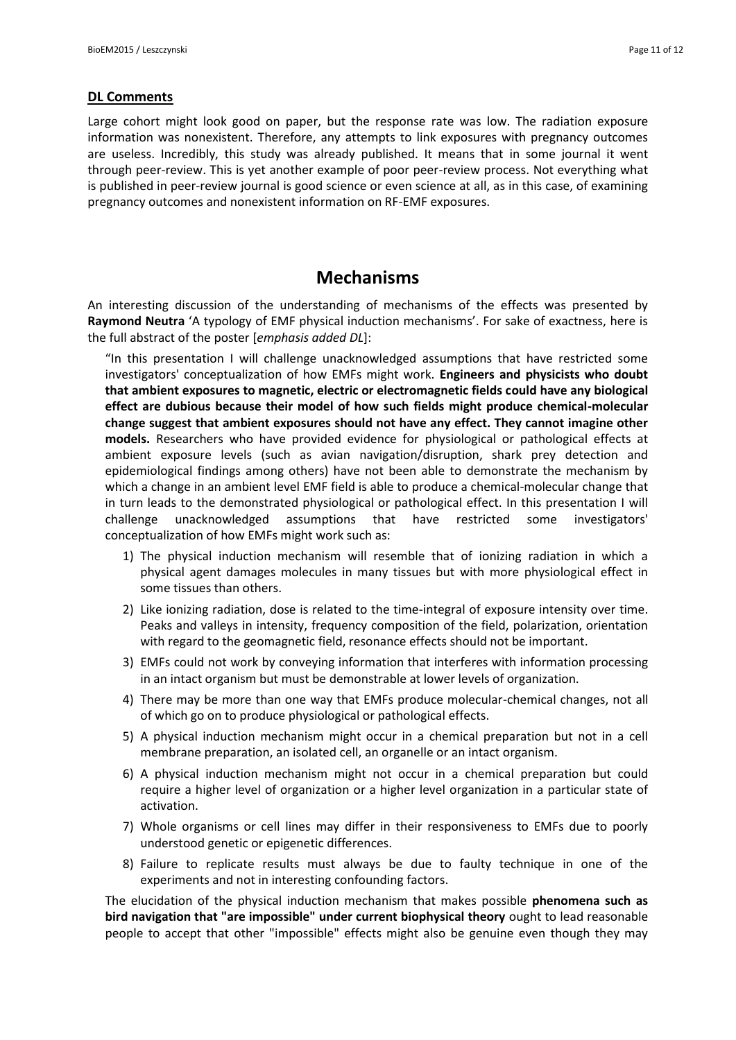## **DL Comments**

Large cohort might look good on paper, but the response rate was low. The radiation exposure information was nonexistent. Therefore, any attempts to link exposures with pregnancy outcomes are useless. Incredibly, this study was already published. It means that in some journal it went through peer-review. This is yet another example of poor peer-review process. Not everything what is published in peer-review journal is good science or even science at all, as in this case, of examining pregnancy outcomes and nonexistent information on RF-EMF exposures.

# **Mechanisms**

An interesting discussion of the understanding of mechanisms of the effects was presented by **Raymond Neutra** 'A typology of EMF physical induction mechanisms'. For sake of exactness, here is the full abstract of the poster [*emphasis added DL*]:

"In this presentation I will challenge unacknowledged assumptions that have restricted some investigators' conceptualization of how EMFs might work. **Engineers and physicists who doubt that ambient exposures to magnetic, electric or electromagnetic fields could have any biological effect are dubious because their model of how such fields might produce chemical-molecular change suggest that ambient exposures should not have any effect. They cannot imagine other models.** Researchers who have provided evidence for physiological or pathological effects at ambient exposure levels (such as avian navigation/disruption, shark prey detection and epidemiological findings among others) have not been able to demonstrate the mechanism by which a change in an ambient level EMF field is able to produce a chemical-molecular change that in turn leads to the demonstrated physiological or pathological effect. In this presentation I will challenge unacknowledged assumptions that have restricted some investigators' conceptualization of how EMFs might work such as:

- 1) The physical induction mechanism will resemble that of ionizing radiation in which a physical agent damages molecules in many tissues but with more physiological effect in some tissues than others.
- 2) Like ionizing radiation, dose is related to the time-integral of exposure intensity over time. Peaks and valleys in intensity, frequency composition of the field, polarization, orientation with regard to the geomagnetic field, resonance effects should not be important.
- 3) EMFs could not work by conveying information that interferes with information processing in an intact organism but must be demonstrable at lower levels of organization.
- 4) There may be more than one way that EMFs produce molecular-chemical changes, not all of which go on to produce physiological or pathological effects.
- 5) A physical induction mechanism might occur in a chemical preparation but not in a cell membrane preparation, an isolated cell, an organelle or an intact organism.
- 6) A physical induction mechanism might not occur in a chemical preparation but could require a higher level of organization or a higher level organization in a particular state of activation.
- 7) Whole organisms or cell lines may differ in their responsiveness to EMFs due to poorly understood genetic or epigenetic differences.
- 8) Failure to replicate results must always be due to faulty technique in one of the experiments and not in interesting confounding factors.

The elucidation of the physical induction mechanism that makes possible **phenomena such as bird navigation that "are impossible" under current biophysical theory** ought to lead reasonable people to accept that other "impossible" effects might also be genuine even though they may